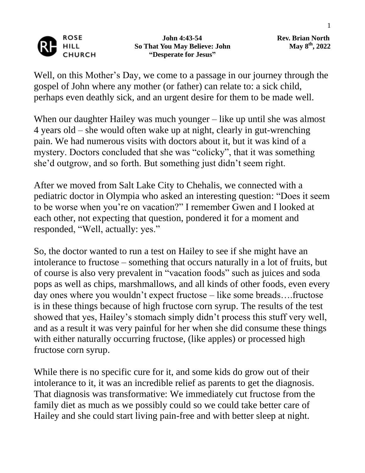

 **John 4:43-54 Rev. Brian North So That You May Believe: John "Desperate for Jesus"**

**th , 2022**

Well, on this Mother's Day, we come to a passage in our journey through the gospel of John where any mother (or father) can relate to: a sick child, perhaps even deathly sick, and an urgent desire for them to be made well.

When our daughter Hailey was much younger – like up until she was almost 4 years old – she would often wake up at night, clearly in gut-wrenching pain. We had numerous visits with doctors about it, but it was kind of a mystery. Doctors concluded that she was "colicky", that it was something she'd outgrow, and so forth. But something just didn't seem right.

After we moved from Salt Lake City to Chehalis, we connected with a pediatric doctor in Olympia who asked an interesting question: "Does it seem to be worse when you're on vacation?" I remember Gwen and I looked at each other, not expecting that question, pondered it for a moment and responded, "Well, actually: yes."

So, the doctor wanted to run a test on Hailey to see if she might have an intolerance to fructose – something that occurs naturally in a lot of fruits, but of course is also very prevalent in "vacation foods" such as juices and soda pops as well as chips, marshmallows, and all kinds of other foods, even every day ones where you wouldn't expect fructose – like some breads….fructose is in these things because of high fructose corn syrup. The results of the test showed that yes, Hailey's stomach simply didn't process this stuff very well, and as a result it was very painful for her when she did consume these things with either naturally occurring fructose, (like apples) or processed high fructose corn syrup.

While there is no specific cure for it, and some kids do grow out of their intolerance to it, it was an incredible relief as parents to get the diagnosis. That diagnosis was transformative: We immediately cut fructose from the family diet as much as we possibly could so we could take better care of Hailey and she could start living pain-free and with better sleep at night.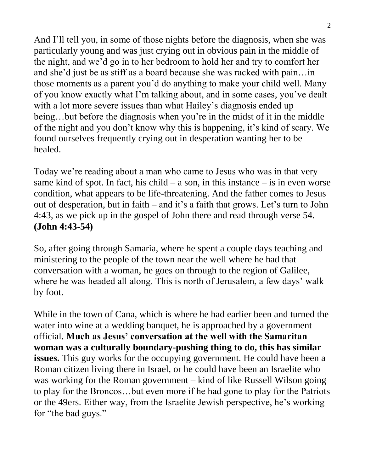And I'll tell you, in some of those nights before the diagnosis, when she was particularly young and was just crying out in obvious pain in the middle of the night, and we'd go in to her bedroom to hold her and try to comfort her and she'd just be as stiff as a board because she was racked with pain…in those moments as a parent you'd do anything to make your child well. Many of you know exactly what I'm talking about, and in some cases, you've dealt with a lot more severe issues than what Hailey's diagnosis ended up being…but before the diagnosis when you're in the midst of it in the middle of the night and you don't know why this is happening, it's kind of scary. We found ourselves frequently crying out in desperation wanting her to be healed.

Today we're reading about a man who came to Jesus who was in that very same kind of spot. In fact, his child – a son, in this instance – is in even worse condition, what appears to be life-threatening. And the father comes to Jesus out of desperation, but in faith – and it's a faith that grows. Let's turn to John 4:43, as we pick up in the gospel of John there and read through verse 54. **(John 4:43-54)**

So, after going through Samaria, where he spent a couple days teaching and ministering to the people of the town near the well where he had that conversation with a woman, he goes on through to the region of Galilee, where he was headed all along. This is north of Jerusalem, a few days' walk by foot.

While in the town of Cana, which is where he had earlier been and turned the water into wine at a wedding banquet, he is approached by a government official. **Much as Jesus' conversation at the well with the Samaritan woman was a culturally boundary-pushing thing to do, this has similar issues.** This guy works for the occupying government. He could have been a Roman citizen living there in Israel, or he could have been an Israelite who was working for the Roman government – kind of like Russell Wilson going to play for the Broncos…but even more if he had gone to play for the Patriots or the 49ers. Either way, from the Israelite Jewish perspective, he's working for "the bad guys."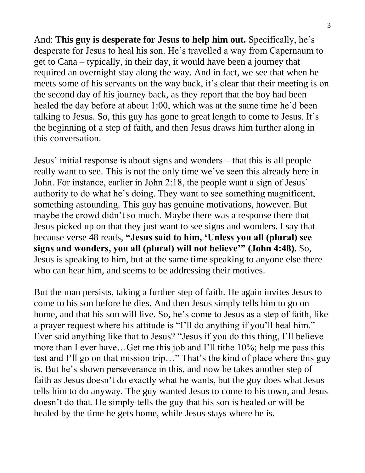And: **This guy is desperate for Jesus to help him out.** Specifically, he's desperate for Jesus to heal his son. He's travelled a way from Capernaum to get to Cana – typically, in their day, it would have been a journey that required an overnight stay along the way. And in fact, we see that when he meets some of his servants on the way back, it's clear that their meeting is on the second day of his journey back, as they report that the boy had been healed the day before at about 1:00, which was at the same time he'd been talking to Jesus. So, this guy has gone to great length to come to Jesus. It's the beginning of a step of faith, and then Jesus draws him further along in this conversation.

Jesus' initial response is about signs and wonders – that this is all people really want to see. This is not the only time we've seen this already here in John. For instance, earlier in John 2:18, the people want a sign of Jesus' authority to do what he's doing. They want to see something magnificent, something astounding. This guy has genuine motivations, however. But maybe the crowd didn't so much. Maybe there was a response there that Jesus picked up on that they just want to see signs and wonders. I say that because verse 48 reads, **"Jesus said to him, 'Unless you all (plural) see signs and wonders, you all (plural) will not believe'" (John 4:48).** So, Jesus is speaking to him, but at the same time speaking to anyone else there who can hear him, and seems to be addressing their motives.

But the man persists, taking a further step of faith. He again invites Jesus to come to his son before he dies. And then Jesus simply tells him to go on home, and that his son will live. So, he's come to Jesus as a step of faith, like a prayer request where his attitude is "I'll do anything if you'll heal him." Ever said anything like that to Jesus? "Jesus if you do this thing, I'll believe more than I ever have…Get me this job and I'll tithe 10%; help me pass this test and I'll go on that mission trip…" That's the kind of place where this guy is. But he's shown perseverance in this, and now he takes another step of faith as Jesus doesn't do exactly what he wants, but the guy does what Jesus tells him to do anyway. The guy wanted Jesus to come to his town, and Jesus doesn't do that. He simply tells the guy that his son is healed or will be healed by the time he gets home, while Jesus stays where he is.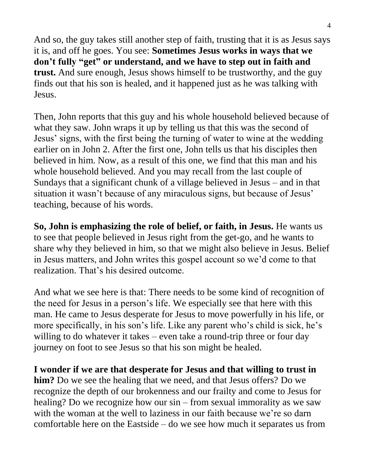And so, the guy takes still another step of faith, trusting that it is as Jesus says it is, and off he goes. You see: **Sometimes Jesus works in ways that we don't fully "get" or understand, and we have to step out in faith and trust.** And sure enough, Jesus shows himself to be trustworthy, and the guy finds out that his son is healed, and it happened just as he was talking with Jesus.

Then, John reports that this guy and his whole household believed because of what they saw. John wraps it up by telling us that this was the second of Jesus' signs, with the first being the turning of water to wine at the wedding earlier on in John 2. After the first one, John tells us that his disciples then believed in him. Now, as a result of this one, we find that this man and his whole household believed. And you may recall from the last couple of Sundays that a significant chunk of a village believed in Jesus – and in that situation it wasn't because of any miraculous signs, but because of Jesus' teaching, because of his words.

**So, John is emphasizing the role of belief, or faith, in Jesus.** He wants us to see that people believed in Jesus right from the get-go, and he wants to share why they believed in him, so that we might also believe in Jesus. Belief in Jesus matters, and John writes this gospel account so we'd come to that realization. That's his desired outcome.

And what we see here is that: There needs to be some kind of recognition of the need for Jesus in a person's life. We especially see that here with this man. He came to Jesus desperate for Jesus to move powerfully in his life, or more specifically, in his son's life. Like any parent who's child is sick, he's willing to do whatever it takes – even take a round-trip three or four day journey on foot to see Jesus so that his son might be healed.

**I wonder if we are that desperate for Jesus and that willing to trust in him?** Do we see the healing that we need, and that Jesus offers? Do we recognize the depth of our brokenness and our frailty and come to Jesus for healing? Do we recognize how our sin – from sexual immorality as we saw with the woman at the well to laziness in our faith because we're so darn comfortable here on the Eastside – do we see how much it separates us from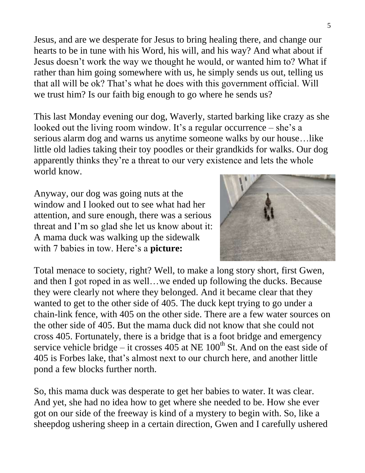Jesus, and are we desperate for Jesus to bring healing there, and change our hearts to be in tune with his Word, his will, and his way? And what about if Jesus doesn't work the way we thought he would, or wanted him to? What if rather than him going somewhere with us, he simply sends us out, telling us that all will be ok? That's what he does with this government official. Will we trust him? Is our faith big enough to go where he sends us?

This last Monday evening our dog, Waverly, started barking like crazy as she looked out the living room window. It's a regular occurrence – she's a serious alarm dog and warns us anytime someone walks by our house…like little old ladies taking their toy poodles or their grandkids for walks. Our dog apparently thinks they're a threat to our very existence and lets the whole world know.

Anyway, our dog was going nuts at the window and I looked out to see what had her attention, and sure enough, there was a serious threat and I'm so glad she let us know about it: A mama duck was walking up the sidewalk with 7 babies in tow. Here's a **picture:**



Total menace to society, right? Well, to make a long story short, first Gwen, and then I got roped in as well…we ended up following the ducks. Because they were clearly not where they belonged. And it became clear that they wanted to get to the other side of 405. The duck kept trying to go under a chain-link fence, with 405 on the other side. There are a few water sources on the other side of 405. But the mama duck did not know that she could not cross 405. Fortunately, there is a bridge that is a foot bridge and emergency service vehicle bridge – it crosses  $405$  at NE  $100<sup>th</sup>$  St. And on the east side of 405 is Forbes lake, that's almost next to our church here, and another little pond a few blocks further north.

So, this mama duck was desperate to get her babies to water. It was clear. And yet, she had no idea how to get where she needed to be. How she ever got on our side of the freeway is kind of a mystery to begin with. So, like a sheepdog ushering sheep in a certain direction, Gwen and I carefully ushered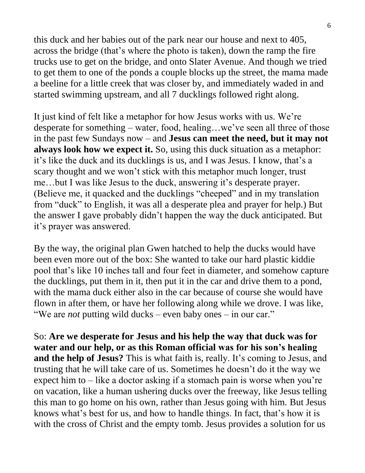this duck and her babies out of the park near our house and next to 405, across the bridge (that's where the photo is taken), down the ramp the fire trucks use to get on the bridge, and onto Slater Avenue. And though we tried to get them to one of the ponds a couple blocks up the street, the mama made a beeline for a little creek that was closer by, and immediately waded in and started swimming upstream, and all 7 ducklings followed right along.

It just kind of felt like a metaphor for how Jesus works with us. We're desperate for something – water, food, healing…we've seen all three of those in the past few Sundays now – and **Jesus can meet the need, but it may not always look how we expect it.** So, using this duck situation as a metaphor: it's like the duck and its ducklings is us, and I was Jesus. I know, that's a scary thought and we won't stick with this metaphor much longer, trust me…but I was like Jesus to the duck, answering it's desperate prayer. (Believe me, it quacked and the ducklings "cheeped" and in my translation from "duck" to English, it was all a desperate plea and prayer for help.) But the answer I gave probably didn't happen the way the duck anticipated. But it's prayer was answered.

By the way, the original plan Gwen hatched to help the ducks would have been even more out of the box: She wanted to take our hard plastic kiddie pool that's like 10 inches tall and four feet in diameter, and somehow capture the ducklings, put them in it, then put it in the car and drive them to a pond, with the mama duck either also in the car because of course she would have flown in after them, or have her following along while we drove. I was like, "We are *not* putting wild ducks – even baby ones – in our car."

So: **Are we desperate for Jesus and his help the way that duck was for water and our help, or as this Roman official was for his son's healing and the help of Jesus?** This is what faith is, really. It's coming to Jesus, and trusting that he will take care of us. Sometimes he doesn't do it the way we expect him to  $-$  like a doctor asking if a stomach pain is worse when you're on vacation, like a human ushering ducks over the freeway, like Jesus telling this man to go home on his own, rather than Jesus going with him. But Jesus knows what's best for us, and how to handle things. In fact, that's how it is with the cross of Christ and the empty tomb. Jesus provides a solution for us